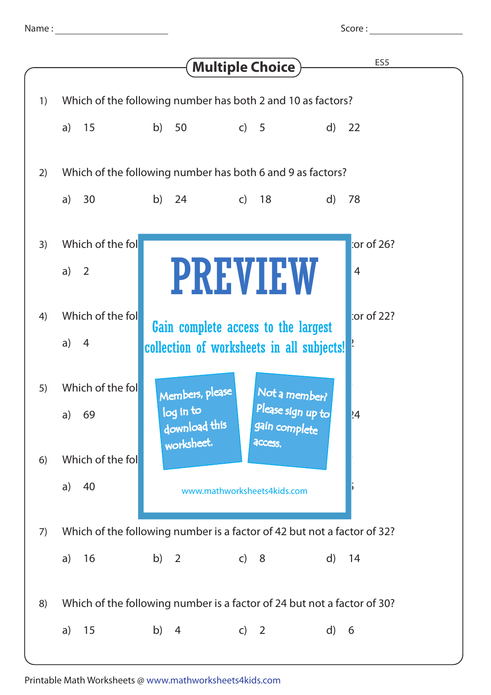Score :